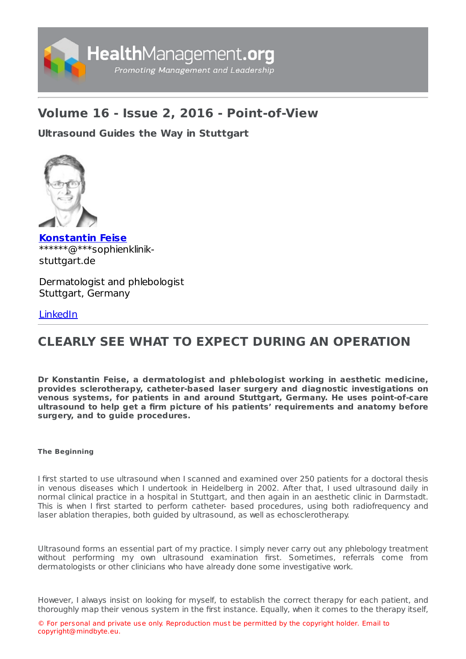

## **Volume 16 - Issue 2, 2016 - Point-of-View**

### **[Ultrasound](https://healthmanagement.org/s/ultrasound-guides-the-way-in-stuttgart) Guides the Way in Stuttgart**



**[Konstantin](https://healthmanagement.org/viewProfile/96507/Konstantin_Feise) Feise** \*\*\*\*\*\*@\*\*\*sophienklinikstuttgart.de

Dermatologist and phlebologist Stuttgart, Germany

### [LinkedIn](https://www.linkedin.com/in/dr-konstantin-feise-64b2b99b/)

# **CLEARLY SEE WHAT TO EXPECT DURING AN OPERATION**

**Dr Konstantin Feise, a dermatologist and phlebologist working in aesthetic medicine, provides sclerotherapy, catheter-based laser surgery and diagnostic investigations on venous systems, for patients in and around Stuttgart, Germany. He uses point-of-care ultrasound to help get a firm picture of his patients' requirements and anatomy before surgery, and to guide procedures.**

### **The Beginning**

I first started to use ultrasound when I scanned and examined over 250 patients for a doctoral thesis in venous diseases which I undertook in Heidelberg in 2002. After that, I used ultrasound daily in normal clinical practice in a hospital in Stuttgart, and then again in an aesthetic clinic in Darmstadt. This is when I first started to perform catheter- based procedures, using both radiofrequency and laser ablation therapies, both guided by ultrasound, as well as echosclerotherapy.

Ultrasound forms an essential part of my practice. I simply never carry out any phlebology treatment without performing my own ultrasound examination first. Sometimes, referrals come from dermatologists or other clinicians who have already done some investigative work.

However, I always insist on looking for myself, to establish the correct therapy for each patient, and thoroughly map their venous system in the first instance. Equally, when it comes to the therapy itself,

© For personal and private use only. Reproduction must be permitted by the copyright holder. Email to copyright@mindbyte.eu.